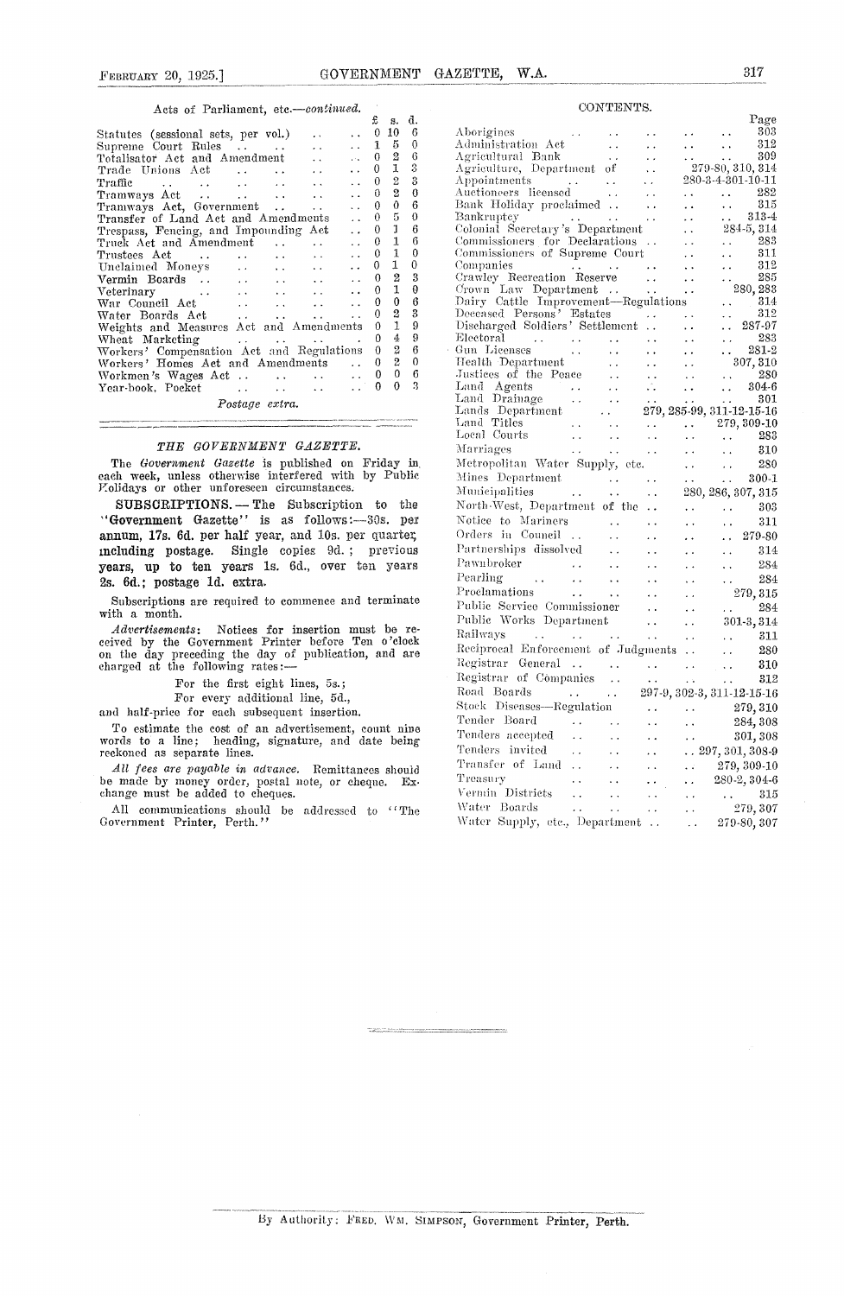### Acts of Parliament, *etc—eontinued.*

|                                                                                                 | £           | s.           | đ. |  |
|-------------------------------------------------------------------------------------------------|-------------|--------------|----|--|
| Statutes (sessional sets, per vol.)                                                             | 0           | 10           | 6  |  |
| Supreme Court Rules<br>$\ddot{\phantom{0}}$                                                     | $\mathbf 1$ | 5            | 0  |  |
| Totalisator Act and Amendment<br>$\mathbf{r}$<br>$\ddotsc$                                      | 0           | 2            | 6  |  |
| Trade Unions Act<br>and the control<br>$\ddot{\phantom{a}}$                                     | 0.          | 1            | 3  |  |
| Traffic<br>and the state of the state of the<br>$\ddot{\phantom{0}}$                            | 0           | 2            | 3  |  |
|                                                                                                 | 0           | 2            | 0  |  |
| Tramways Act, Government<br>$\sim 10^{-11}$                                                     | $\theta$    | 0            | 6  |  |
| Transfer of Land Act and Amendments                                                             | 0.          | 5            | 0  |  |
| Trespass, Fencing, and Impounding Act                                                           | 0           | 1            | 6  |  |
| Truck Act and Amendment                                                                         | 0           | 1            | 6  |  |
| Trustees Act<br>$\sim$ $\sim$<br>$\ddot{\phantom{0}}$                                           | 0           | $\mathbf{1}$ | 0  |  |
| Unclaimed Moneys<br>$\ddot{\phantom{a}}$<br>$\cdots$<br>$\ddot{\phantom{a}}$                    | 0           | 1            | 0  |  |
| Vermin Boards<br>$\ddot{\phantom{0}}$<br>$\mathbf{A}$ and $\mathbf{A}$<br>and the con-          | 0           | 2            | 3  |  |
| Veterinary<br>$\ddot{\phantom{a}}$<br>$\ddotsc$<br>$\mathbf{r}$ , and the state of $\mathbf{r}$ | 0           | $\mathbf{1}$ | 0  |  |
| War Council Act<br>$\ddot{\phantom{0}}$<br>and the control                                      | 0           | 0            | 6  |  |
| Water Boards Act<br><b>Allen Contracts</b>                                                      | 0           | 2            | 3  |  |
| Weights and Measures Act and Amendments                                                         | 0           | 1            | 9  |  |
| Wheat Marketing<br>المنادي والمتحارب المتحارب والمتلا                                           | 0           | 4            | 9  |  |
| Workers' Compensation Act and Regulations                                                       | 0           | 2            | 6  |  |
| Workers' Homes Act and Amendments<br>$\sim$                                                     | 0           | 2            | 0  |  |
|                                                                                                 | 0           | 0            | 6  |  |
| Year-book, Pocket<br>and the state of the state of the                                          | 0           | 0            | 3  |  |
| Postage extra.                                                                                  |             |              |    |  |
|                                                                                                 |             |              |    |  |

#### *THE GOVERNMENT GAZETTE.*

The *Government Gazette is* published on Friday in, each week, unless otherwise interfered with by Public Molidays or other unforeseen circumstances.

SUBSCRIPTIONS. - The Subscription to the "Government Gazette" is as follows :—SOs. per annum, 17s. 6d. per half year, and 10s. per quarter, including postage. Single copies 9d. ; previous years, up to ten years is. 6d., over ten years 2s. 6d.; postage id. extra.

Subscriptions are required to commence and terminate with a month.

Advertisements: Notices for insertion must be received by the Government Printer before Ten o'clock<br>on the day preceding the day of publication, and are charged at the following rates :-

For the first eight lines, 5s.;

For every additional line, 5d.,

and half-price for each subsequent insertion.

To estimate the cost of an advertisement, count nine words to a line; heading, signature, and date being reckoned as separate lines.

*All fees are payable in advance.* Remittances should be made by money order, postal note, or cheque. Exchange must be added to cheques.

All communications should be addressed to "The Government Printer, Perth."

| ZETTE, W.A.                                                                                               |                                                |                                              |                                              | 317                |
|-----------------------------------------------------------------------------------------------------------|------------------------------------------------|----------------------------------------------|----------------------------------------------|--------------------|
| CONTENTS.                                                                                                 |                                                |                                              |                                              |                    |
|                                                                                                           |                                                |                                              |                                              | Page               |
| Aborigines                                                                                                |                                                |                                              |                                              | 303<br>312         |
| Administration Act<br>Agricultural Bank<br>$\sim$ $\sim$                                                  |                                                |                                              |                                              | 309                |
| Agriculture, Department of                                                                                | . .                                            |                                              |                                              | 279-80, 310, 314   |
| Appointments                                                                                              | i.                                             |                                              |                                              | 280-3-4-301-10-11  |
| Appointments<br>Auctioneers licensed<br>$\ddot{\phantom{1}}$ .                                            | $\ddot{\phantom{0}}$                           | $\epsilon$ $\lambda$                         | $\ddot{\phantom{a}}$                         | 282                |
| Bank Holiday proclaimed                                                                                   | $\ddot{\phantom{a}}$                           | $\ddot{\phantom{1}}$                         | $\bullet$ .                                  | 315                |
| Bankruptcy<br>. .                                                                                         | . .                                            | . .                                          | $\ddot{\phantom{0}}$                         | $313 - 4$          |
| Colonial Secretary's Department                                                                           |                                                | . .                                          |                                              | 284-5, 314<br>283  |
| Commissioners for Declarations<br>Commissioners of Supreme Court                                          |                                                | $\ddot{\phantom{0}}$<br>$\ddot{\phantom{1}}$ | $\sim$ $\sim$                                | 311                |
| Companies<br>$\sim$ $\sim$                                                                                | . .                                            | $\ddot{\phantom{1}}$                         | $\ddot{\phantom{1}}$<br>$\ddot{\phantom{0}}$ | $^{312}$           |
| Crawley Recreation Reserve                                                                                | 44                                             | $\ddot{\phantom{0}}$                         |                                              | 285                |
|                                                                                                           |                                                | $\ddot{\phantom{0}}$                         |                                              | 280, 283           |
|                                                                                                           |                                                |                                              |                                              | 314                |
| Deceased Persons' Estates                                                                                 |                                                | $\sim$ $\sim$                                |                                              | 312                |
| Discharged Soldiers' Settlement<br>Electoral                                                              | . .                                            | $\ddot{\phantom{0}}$                         |                                              | 287-97<br>283      |
| $\mathcal{L}^{\mathcal{L}}$ , where $\mathcal{L}^{\mathcal{L}}$<br>Gun Licenses<br>$\ddot{\phantom{1}}$ . | . .<br>с.                                      | . .                                          | i vil                                        | 281-2              |
| Health Department<br>$\ddotsc$                                                                            | . .                                            |                                              |                                              | 307, 310           |
| Justices of the Peace<br>$\bullet$ $\bullet$                                                              | Ω.                                             |                                              | $\ddot{\phantom{0}}$                         | 280                |
| $\sim$ $\sim$                                                                                             | . .                                            | $\ddot{\phantom{0}}$                         | $\ddot{\phantom{a}}$                         | 304-6              |
| Land Drainage<br>Lands Drainage<br>$\sim$                                                                 | $\ddot{\phantom{0}}$                           |                                              |                                              | 301                |
| Lands Department<br>$\alpha$ , $\alpha$<br>Land Titles                                                    |                                                | 279, 285-99, 311-12-15-16                    |                                              |                    |
| $\sim$ $\sim$<br>$\sim$ $\sim$<br>Lang<br>Local Courts<br>$\sim$<br>$\ddot{\phantom{0}}$                  | $\ddot{\phantom{a}}$ .<br>$\ddot{\phantom{a}}$ | $\ddot{\phantom{0}}$<br>$\ddot{\phantom{0}}$ | $\ddot{\phantom{0}}$                         | 279, 309-10<br>283 |
| $\sim$ $\sim$<br>$\sim$ $\sim$                                                                            | 24                                             |                                              |                                              | 310                |
| Metropolitan Water Supply, ctc.                                                                           |                                                | $\ddotsc$                                    | $\ddot{\phantom{0}}$                         | 280                |
| Mines Department<br>$\ddot{\phantom{0}}$                                                                  | $\ddot{\phantom{0}}$                           |                                              |                                              | $300 - 1$          |
| Municipalities<br>$\sim 100$                                                                              |                                                | $\ddot{\phantom{1}}$ .                       | $\sim$                                       | 280, 286, 307, 315 |
| $\ddot{\phantom{0}}$<br>North-West, Department of the                                                     | $\ddotsc$                                      |                                              |                                              | $303\,$            |
| Notice to Mariners                                                                                        | . .                                            |                                              | $\ddot{\phantom{0}}$                         | 311                |
| Orders in Council                                                                                         | . .                                            |                                              |                                              |                    |
| . .<br>Partnerships dissolved                                                                             | .,                                             |                                              | i.                                           | 279-80             |
| Pawnbroker                                                                                                | ρ.                                             | . .                                          | . .                                          | 314                |
| $\sim$ $\sim$<br>$\ddot{\phantom{1}}$<br>Pearling                                                         | . .                                            | $\ddot{\phantom{0}}$                         | $\ddot{\phantom{1}}$                         | 284                |
| $\sim$ $\sim$ $\sim$<br>$\ddot{\phantom{a}}$ .<br>$\ddot{\phantom{0}}$                                    | $\ddot{\phantom{0}}$                           | $\ddot{\phantom{1}}$                         |                                              | 284                |
| Proclamations<br>$\sim$ $\sim$<br>$\sim$                                                                  | $\ddot{\phantom{0}}$                           | $\ddot{\phantom{1}}$                         |                                              | 279, 315           |
| Public Service Commissioner                                                                               | $\ddot{\phantom{0}}$                           | $\ddot{\phantom{0}}$                         | a.                                           | 284                |
| Public Works Department                                                                                   | . .                                            |                                              |                                              | 301-3, 314         |
| Railways<br>$\mathbf{1}$ and $\mathbf{1}$ and $\mathbf{1}$                                                | $\ddot{\phantom{1}}$ .                         | $\ddot{\phantom{1}}$                         | $\ddot{\phantom{0}}$                         | 311                |
| Reciprocal Enforcement of Judgments                                                                       |                                                |                                              | $\ddot{\phantom{0}}$                         | 280                |
| Registrar General<br>$\sim 10^{-1}$                                                                       |                                                | . .                                          |                                              | 310                |

'nmpanies 312

Trc ...........if Lind \* \* \* .. \* 279,309-10 Tenders invited ... .. .. .. 297, 301, 308-9<br>Transfer of Land ... .. .. .. .. 279, 309-10<br>Treasury ... .. .. .. 280-2, 304-6<br>Vermin Districts \eri,i,1 Districts \*\* - \* \* \* 315 Water Boards ... ... .. .. 279,307<br>Water Supply, etc., Department ... .. 279-80,307

Water Supply, etc., Department .. . .

297-9, 302-3, 311-12-15-16 k,, ri \* - . 284, 308 Stock Diseases—Regulation . . . . . . 279, 310<br>Tender Board . . . . . . . . 284, 308

s01,308

 $\ldots$   $\ldots$  297, 301, 308-9<br> $\ldots$  279, 309-10

By Authority: FRED. WM. SIMPSON, Government Printer, Perth.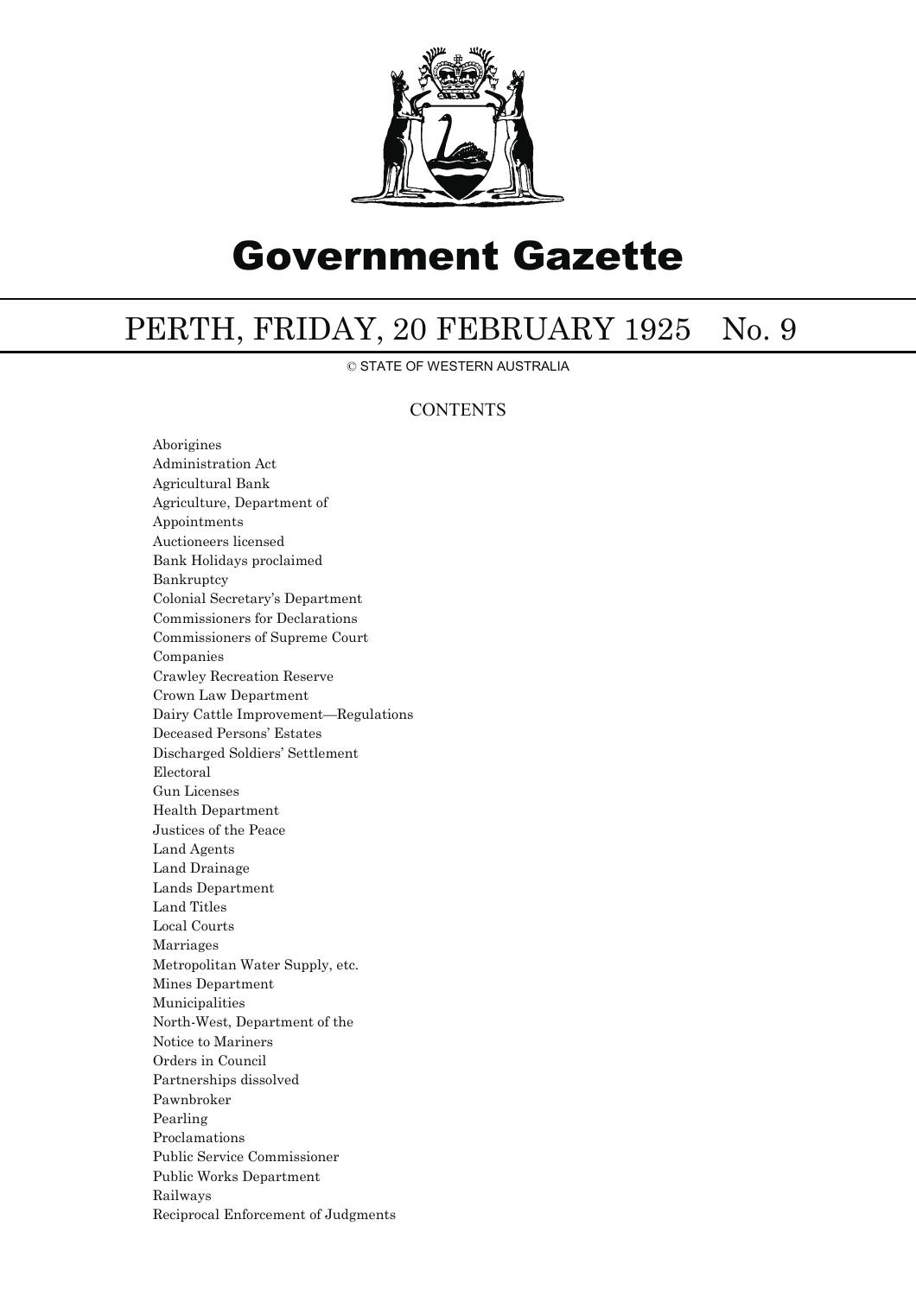

# Government Gazette

## PERTH, FRIDAY, 20 FEBRUARY 1925 No. 9

© STATE OF WESTERN AUSTRALIA

### **CONTENTS**

Aborigines Administration Act Agricultural Bank Agriculture, Department of Appointments Auctioneers licensed Bank Holidays proclaimed Bankruptcy Colonial Secretary's Department Commissioners for Declarations Commissioners of Supreme Court Companies Crawley Recreation Reserve Crown Law Department Dairy Cattle Improvement—Regulations Deceased Persons' Estates Discharged Soldiers' Settlement Electoral Gun Licenses Health Department Justices of the Peace Land Agents Land Drainage Lands Department Land Titles Local Courts Marriages Metropolitan Water Supply, etc. Mines Department Municipalities North-West, Department of the Notice to Mariners Orders in Council Partnerships dissolved Pawnbroker Pearling Proclamations Public Service Commissioner Public Works Department Railways Reciprocal Enforcement of Judgments